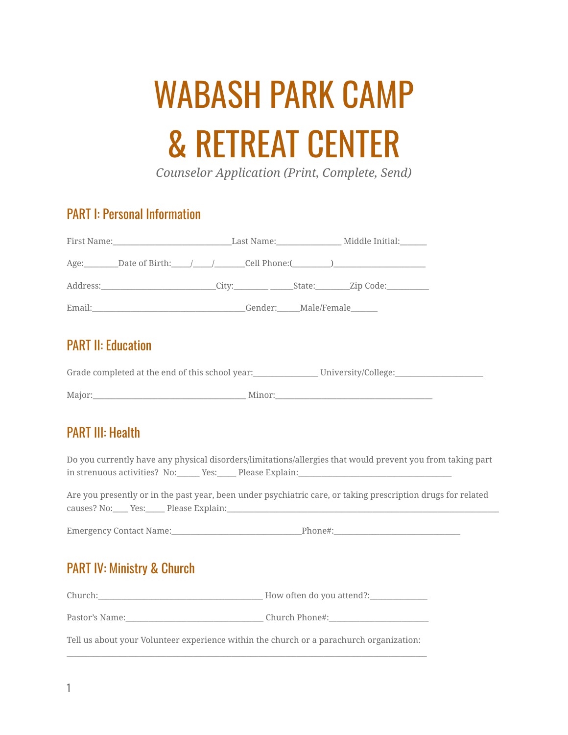# WABASH PARK CAMP & RETREAT CENTER

*Counselor Application (Print, Complete, Send)*

#### PART I: Personal Information

|                                                                                                                                                                                                                                |                     | _Last Name:_____________________ Middle Initial:_______ |
|--------------------------------------------------------------------------------------------------------------------------------------------------------------------------------------------------------------------------------|---------------------|---------------------------------------------------------|
| $Age:$ Date of Birth: $/$ / Cell Phone: (2008)                                                                                                                                                                                 |                     |                                                         |
| Address: City: City: State: Zip Code:                                                                                                                                                                                          |                     |                                                         |
| Email: Email: All and the state of the state of the state of the state of the state of the state of the state of the state of the state of the state of the state of the state of the state of the state of the state of the s | Gender: Male/Female |                                                         |

### PART II: Education

Grade completed at the end of this school year:\_\_\_\_\_\_\_\_\_\_\_\_\_\_\_\_\_\_\_\_\_\_\_\_\_\_\_\_\_\_\_\_\_\_\_

Major:\_\_\_\_\_\_\_\_\_\_\_\_\_\_\_\_\_\_\_\_\_\_\_\_\_\_\_\_\_\_\_\_\_\_\_\_\_\_\_\_ Minor:\_\_\_\_\_\_\_\_\_\_\_\_\_\_\_\_\_\_\_\_\_\_\_\_\_\_\_\_\_\_\_\_\_\_\_\_\_\_\_\_\_

## PART III: Health

Do you currently have any physical disorders/limitations/allergies that would prevent you from taking part in strenuous activities? No:\_\_\_\_\_\_ Yes:\_\_\_\_\_ Please Explain:\_\_\_\_\_\_\_\_\_\_\_\_\_\_\_\_\_\_\_\_\_

Are you presently or in the past year, been under psychiatric care, or taking prescription drugs for related causes? No:\_\_\_\_ Yes:\_\_\_\_\_ Please Explain:\_\_\_\_\_\_\_\_\_\_\_\_\_\_\_\_\_\_\_\_\_\_\_\_\_\_\_\_\_\_\_\_\_\_\_\_\_\_\_\_\_\_\_\_\_\_\_\_\_\_\_\_\_\_\_\_\_\_\_\_\_\_\_\_\_\_\_\_\_\_\_

Emergency Contact Name:\_\_\_\_\_\_\_\_\_\_\_\_\_\_\_\_\_\_\_\_\_\_\_\_\_\_\_\_\_\_\_\_\_\_Phone#:\_\_\_\_\_\_\_\_\_\_\_\_\_\_\_\_\_\_\_\_\_\_\_\_\_\_\_\_\_\_\_\_\_

## PART IV: Ministry & Church

| Church:                                                                                 | How often do you attend?: |
|-----------------------------------------------------------------------------------------|---------------------------|
| Pastor's Name:                                                                          | Church Phone#:            |
| Tell us about your Volunteer experience within the church or a parachurch organization: |                           |

\_\_\_\_\_\_\_\_\_\_\_\_\_\_\_\_\_\_\_\_\_\_\_\_\_\_\_\_\_\_\_\_\_\_\_\_\_\_\_\_\_\_\_\_\_\_\_\_\_\_\_\_\_\_\_\_\_\_\_\_\_\_\_\_\_\_\_\_\_\_\_\_\_\_\_\_\_\_\_\_\_\_\_\_\_\_\_\_\_\_\_\_\_\_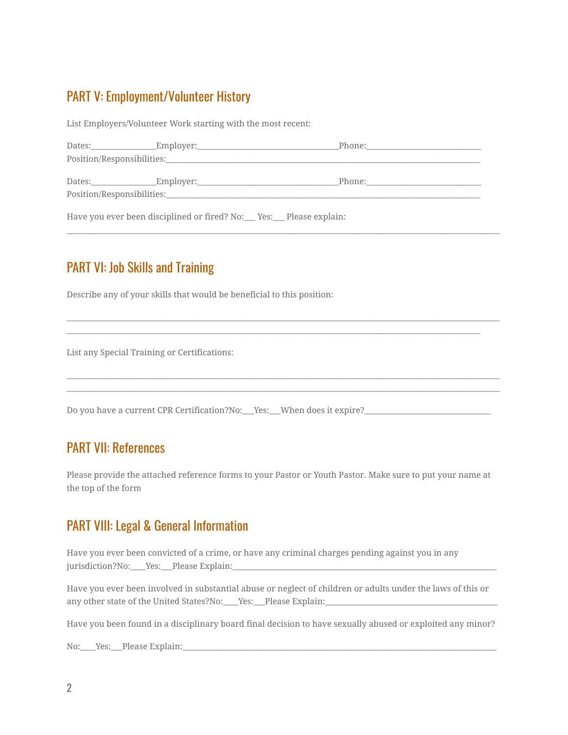#### PART V: Employment/Volunteer History

List Employers/Volunteer Work starting with the most recent:

| Dates: | _Employer:_ | Phone: |
|--------|-------------|--------|
|        |             |        |
| Dates: |             | Phone: |

\_\_\_\_\_\_\_\_\_\_\_\_\_\_\_\_\_\_\_\_\_\_\_\_\_\_\_\_\_\_\_\_\_\_\_\_\_\_\_\_\_\_\_\_\_\_\_\_\_\_\_\_\_\_\_\_\_\_\_\_\_\_\_\_\_\_\_\_\_\_\_\_\_\_\_\_\_\_\_\_\_\_\_\_\_\_\_\_\_\_\_\_\_\_\_\_\_\_\_\_\_\_\_\_\_\_\_\_\_\_\_\_\_

\_\_\_\_\_\_\_\_\_\_\_\_\_\_\_\_\_\_\_\_\_\_\_\_\_\_\_\_\_\_\_\_\_\_\_\_\_\_\_\_\_\_\_\_\_\_\_\_\_\_\_\_\_\_\_\_\_\_\_\_\_\_\_\_\_\_\_\_\_\_\_\_\_\_\_\_\_\_\_\_\_\_\_\_\_\_\_\_\_\_\_\_\_\_\_\_\_\_\_\_\_\_\_\_\_\_\_\_\_\_\_\_\_ \_\_\_\_\_\_\_\_\_\_\_\_\_\_\_\_\_\_\_\_\_\_\_\_\_\_\_\_\_\_\_\_\_\_\_\_\_\_\_\_\_\_\_\_\_\_\_\_\_\_\_\_\_\_\_\_\_\_\_\_\_\_\_\_\_\_\_\_\_\_\_\_\_\_\_\_\_\_\_\_\_\_\_\_\_\_\_\_\_\_\_\_\_\_\_\_\_\_\_\_\_\_\_\_\_\_\_\_

\_\_\_\_\_\_\_\_\_\_\_\_\_\_\_\_\_\_\_\_\_\_\_\_\_\_\_\_\_\_\_\_\_\_\_\_\_\_\_\_\_\_\_\_\_\_\_\_\_\_\_\_\_\_\_\_\_\_\_\_\_\_\_\_\_\_\_\_\_\_\_\_\_\_\_\_\_\_\_\_\_\_\_\_\_\_\_\_\_\_\_\_\_\_\_\_\_\_\_\_\_\_\_\_\_\_\_\_\_\_\_\_\_ \_\_\_\_\_\_\_\_\_\_\_\_\_\_\_\_\_\_\_\_\_\_\_\_\_\_\_\_\_\_\_\_\_\_\_\_\_\_\_\_\_\_\_\_\_\_\_\_\_\_\_\_\_\_\_\_\_\_\_\_\_\_\_\_\_\_\_\_\_\_\_\_\_\_\_\_\_\_\_\_\_\_\_\_\_\_\_\_\_\_\_\_\_\_\_\_\_\_\_\_\_\_\_\_\_\_\_\_\_\_\_\_\_

Have you ever been disciplined or fired? No: Ves: Please explain:

#### PART VI: Job Skills and Training

Describe any of your skills that would be beneficial to this position:

List any Special Training or Certifications:

Do you have a current CPR Certification?No:\_\_Yes:\_\_When does it expire?\_\_\_\_\_\_\_\_\_

#### PART VII: References

Please provide the attached reference forms to your Pastor or Youth Pastor. Make sure to put your name at the top of the form

#### PART VIII: Legal & General Information

Have you ever been convicted of a crime, or have any criminal charges pending against you in any jurisdiction?No:\_\_\_\_Yes:\_\_Please Explain:\_\_\_

Have you ever been involved in substantial abuse or neglect of children or adults under the laws of this or any other state of the United States?No:\_\_\_\_Yes:\_\_\_Please Explain:\_\_\_\_\_\_\_\_\_\_\_\_\_\_\_

Have you been found in a disciplinary board final decision to have sexually abused or exploited any minor?

No: Yes: Please Explain: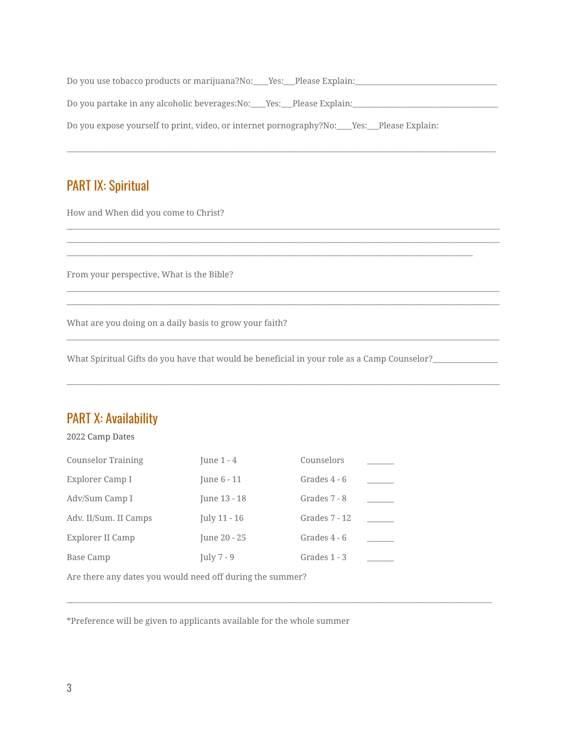| Do you use tobacco products or marijuana?No: Yes: Please Explain:                                 |
|---------------------------------------------------------------------------------------------------|
| Do you partake in any alcoholic beverages: No: _____ Yes: ____ Please Explain: _                  |
| Do you expose yourself to print, video, or internet pornography?No: _____Yes: ____Please Explain: |

\_\_\_\_\_\_\_\_\_\_\_\_\_\_\_\_\_\_\_\_\_\_\_\_\_\_\_\_\_\_\_\_\_\_\_\_\_\_\_\_\_\_\_\_\_\_\_\_\_\_\_\_\_\_\_\_\_\_\_\_\_\_\_\_\_\_\_\_\_\_\_\_\_\_\_\_\_\_\_\_\_\_\_\_\_\_\_\_\_\_\_\_\_\_\_\_\_\_\_\_\_\_\_\_\_\_\_\_\_\_\_\_

\_\_\_\_\_\_\_\_\_\_\_\_\_\_\_\_\_\_\_\_\_\_\_\_\_\_\_\_\_\_\_\_\_\_\_\_\_\_\_\_\_\_\_\_\_\_\_\_\_\_\_\_\_\_\_\_\_\_\_\_\_\_\_\_\_\_\_\_\_\_\_\_\_\_\_\_\_\_\_\_\_\_\_\_\_\_\_\_\_\_\_\_\_\_\_\_\_\_\_\_\_\_\_\_\_\_\_\_\_\_\_\_\_ \_\_\_\_\_\_\_\_\_\_\_\_\_\_\_\_\_\_\_\_\_\_\_\_\_\_\_\_\_\_\_\_\_\_\_\_\_\_\_\_\_\_\_\_\_\_\_\_\_\_\_\_\_\_\_\_\_\_\_\_\_\_\_\_\_\_\_\_\_\_\_\_\_\_\_\_\_\_\_\_\_\_\_\_\_\_\_\_\_\_\_\_\_\_\_\_\_\_\_\_\_\_\_\_\_\_\_\_\_\_\_\_\_

\_\_\_\_\_\_\_\_\_\_\_\_\_\_\_\_\_\_\_\_\_\_\_\_\_\_\_\_\_\_\_\_\_\_\_\_\_\_\_\_\_\_\_\_\_\_\_\_\_\_\_\_\_\_\_\_\_\_\_\_\_\_\_\_\_\_\_\_\_\_\_\_\_\_\_\_\_\_\_\_\_\_\_\_\_\_\_\_\_\_\_\_\_\_\_\_\_\_\_\_\_\_\_\_\_\_\_\_\_\_\_\_\_ \_\_\_\_\_\_\_\_\_\_\_\_\_\_\_\_\_\_\_\_\_\_\_\_\_\_\_\_\_\_\_\_\_\_\_\_\_\_\_\_\_\_\_\_\_\_\_\_\_\_\_\_\_\_\_\_\_\_\_\_\_\_\_\_\_\_\_\_\_\_\_\_\_\_\_\_\_\_\_\_\_\_\_\_\_\_\_\_\_\_\_\_\_\_\_\_\_\_\_\_\_\_\_\_\_\_\_\_\_\_\_\_\_

\_\_\_\_\_\_\_\_\_\_\_\_\_\_\_\_\_\_\_\_\_\_\_\_\_\_\_\_\_\_\_\_\_\_\_\_\_\_\_\_\_\_\_\_\_\_\_\_\_\_\_\_\_\_\_\_\_\_\_\_\_\_\_\_\_\_\_\_\_\_\_\_\_\_\_\_\_\_\_\_\_\_\_\_\_\_\_\_\_\_\_\_\_\_\_\_\_\_\_\_\_\_\_\_\_\_\_\_\_\_\_\_\_

\_\_\_\_\_\_\_\_\_\_\_\_\_\_\_\_\_\_\_\_\_\_\_\_\_\_\_\_\_\_\_\_\_\_\_\_\_\_\_\_\_\_\_\_\_\_\_\_\_\_\_\_\_\_\_\_\_\_\_\_\_\_\_\_\_\_\_\_\_\_\_\_\_\_\_\_\_\_\_\_\_\_\_\_\_\_\_\_\_\_\_\_\_\_\_\_\_\_\_\_\_\_\_\_\_\_\_\_\_\_\_

\_\_\_\_\_\_\_\_\_\_\_\_\_\_\_\_\_\_\_\_\_\_\_\_\_\_\_\_\_\_\_\_\_\_\_\_\_\_\_\_\_\_\_\_\_\_\_\_\_\_\_\_\_\_\_\_\_\_\_\_\_\_\_\_\_\_\_\_\_\_\_\_\_\_\_\_\_\_\_\_\_\_\_\_\_\_\_\_\_\_\_\_\_\_\_\_\_\_\_\_\_\_\_\_\_\_\_\_\_\_\_\_\_

\_\_\_\_\_\_\_\_\_\_\_\_\_\_\_\_\_\_\_\_\_\_\_\_\_\_\_\_\_\_\_\_\_\_\_\_\_\_\_\_\_\_\_\_\_\_\_\_\_\_\_\_\_\_\_\_\_\_\_\_\_\_\_\_\_\_\_\_\_\_\_\_\_\_\_\_\_\_\_\_\_\_\_\_\_\_\_\_\_\_\_\_\_\_\_\_\_\_\_\_\_\_\_\_\_\_

### PART IX: Spiritual

How and When did you come to Christ?

From your perspective, What is the Bible?

What are you doing on a daily basis to grow your faith?

What Spiritual Gifts do you have that would be beneficial in your role as a Camp Counselor?\_\_\_\_\_\_\_\_\_\_\_\_\_\_\_\_\_\_\_

#### PART X: Availability

#### 2022 Camp Dates

| <b>Counselor Training</b> | June $1 - 4$ | Counselors    |  |
|---------------------------|--------------|---------------|--|
| Explorer Camp I           | June 6 - 11  | Grades 4 - 6  |  |
| Adv/Sum Camp I            | June 13 - 18 | Grades 7 - 8  |  |
| Adv. II/Sum. II Camps     | July 11 - 16 | Grades 7 - 12 |  |
| Explorer II Camp          | June 20 - 25 | Grades 4 - 6  |  |
| Base Camp                 | July $7 - 9$ | Grades 1 - 3  |  |
|                           |              |               |  |

Are there any dates you would need off during the summer?

\*Preference will be given to applicants available for the whole summer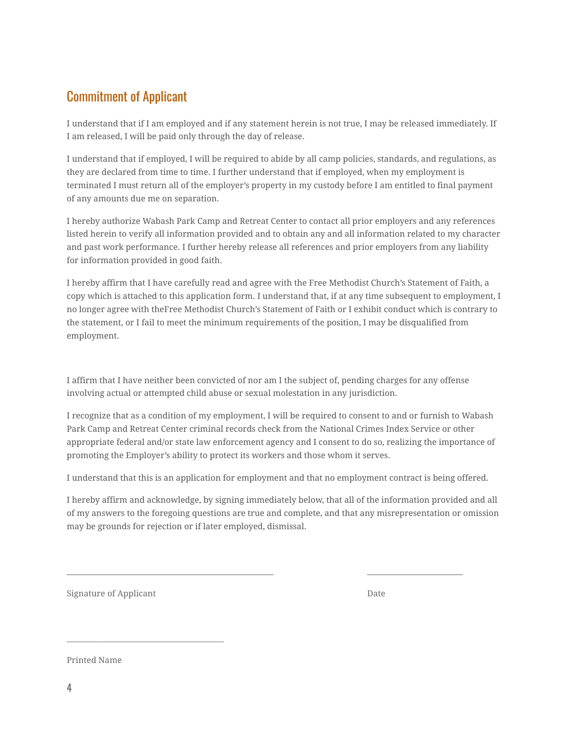### Commitment of Applicant

I understand that if I am employed and if any statement herein is not true, I may be released immediately. If I am released, I will be paid only through the day of release.

I understand that if employed, I will be required to abide by all camp policies, standards, and regulations, as they are declared from time to time. I further understand that if employed, when my employment is terminated I must return all of the employer's property in my custody before I am entitled to final payment of any amounts due me on separation.

I hereby authorize Wabash Park Camp and Retreat Center to contact all prior employers and any references listed herein to verify all information provided and to obtain any and all information related to my character and past work performance. I further hereby release all references and prior employers from any liability for information provided in good faith.

I hereby affirm that I have carefully read and agree with the Free Methodist Church's Statement of Faith, a copy which is attached to this application form. I understand that, if at any time subsequent to employment, I no longer agree with theFree Methodist Church's Statement of Faith or I exhibit conduct which is contrary to the statement, or I fail to meet the minimum requirements of the position, I may be disqualified from employment.

I affirm that I have neither been convicted of nor am I the subject of, pending charges for any offense involving actual or attempted child abuse or sexual molestation in any jurisdiction.

I recognize that as a condition of my employment, I will be required to consent to and or furnish to Wabash Park Camp and Retreat Center criminal records check from the National Crimes Index Service or other appropriate federal and/or state law enforcement agency and I consent to do so, realizing the importance of promoting the Employer's ability to protect its workers and those whom it serves.

I understand that this is an application for employment and that no employment contract is being offered.

I hereby affirm and acknowledge, by signing immediately below, that all of the information provided and all of my answers to the foregoing questions are true and complete, and that any misrepresentation or omission may be grounds for rejection or if later employed, dismissal.

\_\_\_\_\_\_\_\_\_\_\_\_\_\_\_\_\_\_\_\_\_\_\_\_\_\_\_\_\_\_\_\_\_\_\_\_\_\_\_\_\_\_\_\_\_\_\_\_\_\_\_\_\_\_ \_\_\_\_\_\_\_\_\_\_\_\_\_\_\_\_\_\_\_\_\_\_\_\_\_

Signature of Applicant Date

 $\mathcal{L}_\text{max}$  and  $\mathcal{L}_\text{max}$  and  $\mathcal{L}_\text{max}$  and  $\mathcal{L}_\text{max}$  and  $\mathcal{L}_\text{max}$ 

Printed Name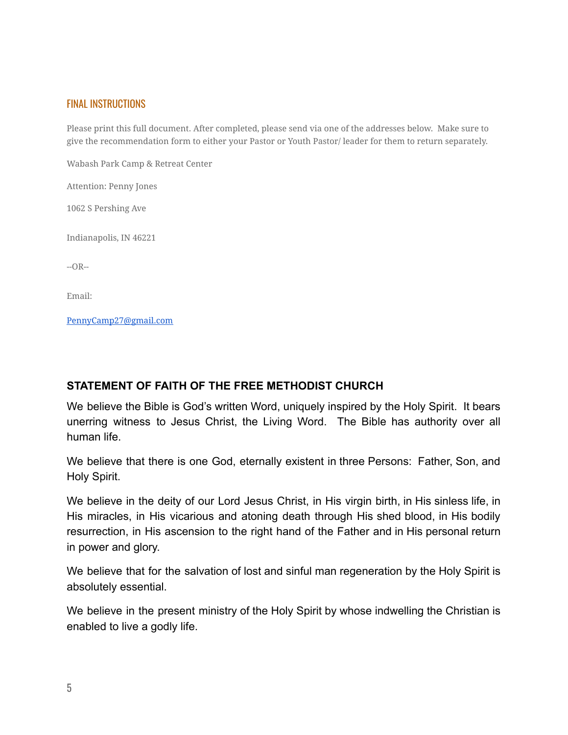#### FINAL INSTRUCTIONS

Please print this full document. After completed, please send via one of the addresses below. Make sure to give the recommendation form to either your Pastor or Youth Pastor/ leader for them to return separately.

Wabash Park Camp & Retreat Center

Attention: Penny Jones

1062 S Pershing Ave

Indianapolis, IN 46221

 $-OR-$ 

Email:

[PennyCamp27@gmail.com](mailto:PennyCamp27@gmail.com)

#### **STATEMENT OF FAITH OF THE FREE METHODIST CHURCH**

We believe the Bible is God's written Word, uniquely inspired by the Holy Spirit. It bears unerring witness to Jesus Christ, the Living Word. The Bible has authority over all human life.

We believe that there is one God, eternally existent in three Persons: Father, Son, and Holy Spirit.

We believe in the deity of our Lord Jesus Christ, in His virgin birth, in His sinless life, in His miracles, in His vicarious and atoning death through His shed blood, in His bodily resurrection, in His ascension to the right hand of the Father and in His personal return in power and glory.

We believe that for the salvation of lost and sinful man regeneration by the Holy Spirit is absolutely essential.

We believe in the present ministry of the Holy Spirit by whose indwelling the Christian is enabled to live a godly life.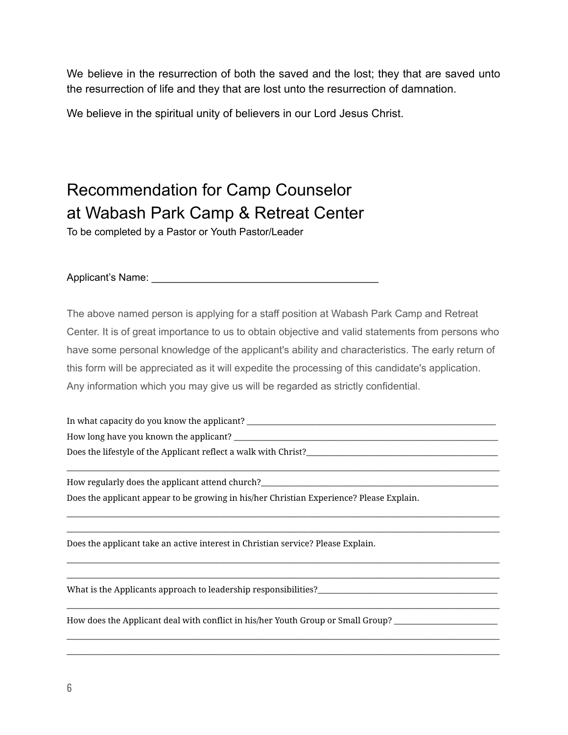We believe in the resurrection of both the saved and the lost; they that are saved unto the resurrection of life and they that are lost unto the resurrection of damnation.

We believe in the spiritual unity of believers in our Lord Jesus Christ.

## Recommendation for Camp Counselor at Wabash Park Camp & Retreat Center

To be completed by a Pastor or Youth Pastor/Leader

Applicant's Name: \_\_\_\_\_\_\_\_\_\_\_\_\_\_\_\_\_\_\_\_\_\_\_\_\_\_\_\_\_\_\_\_\_\_\_\_\_\_\_\_

The above named person is applying for a staff position at Wabash Park Camp and Retreat Center. It is of great importance to us to obtain objective and valid statements from persons who have some personal knowledge of the applicant's ability and characteristics. The early return of this form will be appreciated as it will expedite the processing of this candidate's application. Any information which you may give us will be regarded as strictly confidential.

In what capacity do you know the applicant? \_\_\_\_\_\_\_\_\_\_\_\_\_\_\_\_\_\_\_\_\_\_\_\_\_\_\_\_\_\_\_\_\_\_\_\_\_\_\_\_\_\_\_\_\_\_\_\_\_\_\_\_\_\_\_\_\_\_\_\_\_\_\_\_\_ How long have you known the applicant? \_\_\_\_\_\_\_\_\_\_\_\_\_\_\_\_\_\_\_\_\_\_\_\_\_\_\_\_\_\_\_\_\_\_\_\_\_\_\_\_\_\_\_\_\_\_\_\_\_\_\_\_\_\_\_\_\_\_\_\_\_\_\_\_\_\_\_\_\_ Does the lifestyle of the Applicant reflect a walk with Christ?\_\_\_\_\_\_\_\_\_\_\_\_\_\_\_\_\_

\_\_\_\_\_\_\_\_\_\_\_\_\_\_\_\_\_\_\_\_\_\_\_\_\_\_\_\_\_\_\_\_\_\_\_\_\_\_\_\_\_\_\_\_\_\_\_\_\_\_\_\_\_\_\_\_\_\_\_\_\_\_\_\_\_\_\_\_\_\_\_\_\_\_\_\_\_\_\_\_\_\_\_\_\_\_\_\_\_\_\_\_\_\_\_\_\_\_\_\_\_\_\_\_\_\_\_\_\_\_\_\_\_

\_\_\_\_\_\_\_\_\_\_\_\_\_\_\_\_\_\_\_\_\_\_\_\_\_\_\_\_\_\_\_\_\_\_\_\_\_\_\_\_\_\_\_\_\_\_\_\_\_\_\_\_\_\_\_\_\_\_\_\_\_\_\_\_\_\_\_\_\_\_\_\_\_\_\_\_\_\_\_\_\_\_\_\_\_\_\_\_\_\_\_\_\_\_\_\_\_\_\_\_\_\_\_\_\_\_\_\_\_\_\_\_\_ \_\_\_\_\_\_\_\_\_\_\_\_\_\_\_\_\_\_\_\_\_\_\_\_\_\_\_\_\_\_\_\_\_\_\_\_\_\_\_\_\_\_\_\_\_\_\_\_\_\_\_\_\_\_\_\_\_\_\_\_\_\_\_\_\_\_\_\_\_\_\_\_\_\_\_\_\_\_\_\_\_\_\_\_\_\_\_\_\_\_\_\_\_\_\_\_\_\_\_\_\_\_\_\_\_\_\_\_\_\_\_\_\_

\_\_\_\_\_\_\_\_\_\_\_\_\_\_\_\_\_\_\_\_\_\_\_\_\_\_\_\_\_\_\_\_\_\_\_\_\_\_\_\_\_\_\_\_\_\_\_\_\_\_\_\_\_\_\_\_\_\_\_\_\_\_\_\_\_\_\_\_\_\_\_\_\_\_\_\_\_\_\_\_\_\_\_\_\_\_\_\_\_\_\_\_\_\_\_\_\_\_\_\_\_\_\_\_\_\_\_\_\_\_\_\_\_ \_\_\_\_\_\_\_\_\_\_\_\_\_\_\_\_\_\_\_\_\_\_\_\_\_\_\_\_\_\_\_\_\_\_\_\_\_\_\_\_\_\_\_\_\_\_\_\_\_\_\_\_\_\_\_\_\_\_\_\_\_\_\_\_\_\_\_\_\_\_\_\_\_\_\_\_\_\_\_\_\_\_\_\_\_\_\_\_\_\_\_\_\_\_\_\_\_\_\_\_\_\_\_\_\_\_\_\_\_\_\_\_\_

\_\_\_\_\_\_\_\_\_\_\_\_\_\_\_\_\_\_\_\_\_\_\_\_\_\_\_\_\_\_\_\_\_\_\_\_\_\_\_\_\_\_\_\_\_\_\_\_\_\_\_\_\_\_\_\_\_\_\_\_\_\_\_\_\_\_\_\_\_\_\_\_\_\_\_\_\_\_\_\_\_\_\_\_\_\_\_\_\_\_\_\_\_\_\_\_\_\_\_\_\_\_\_\_\_\_\_\_\_\_\_\_\_

\_\_\_\_\_\_\_\_\_\_\_\_\_\_\_\_\_\_\_\_\_\_\_\_\_\_\_\_\_\_\_\_\_\_\_\_\_\_\_\_\_\_\_\_\_\_\_\_\_\_\_\_\_\_\_\_\_\_\_\_\_\_\_\_\_\_\_\_\_\_\_\_\_\_\_\_\_\_\_\_\_\_\_\_\_\_\_\_\_\_\_\_\_\_\_\_\_\_\_\_\_\_\_\_\_\_\_\_\_\_\_\_\_ \_\_\_\_\_\_\_\_\_\_\_\_\_\_\_\_\_\_\_\_\_\_\_\_\_\_\_\_\_\_\_\_\_\_\_\_\_\_\_\_\_\_\_\_\_\_\_\_\_\_\_\_\_\_\_\_\_\_\_\_\_\_\_\_\_\_\_\_\_\_\_\_\_\_\_\_\_\_\_\_\_\_\_\_\_\_\_\_\_\_\_\_\_\_\_\_\_\_\_\_\_\_\_\_\_\_\_\_\_\_\_\_\_

How regularly does the applicant attend church?\_\_\_\_\_\_\_\_\_\_\_\_\_\_\_\_\_\_\_\_\_\_\_\_\_\_\_\_\_\_\_\_\_ Does the applicant appear to be growing in his/her Christian Experience? Please Explain.

Does the applicant take an active interest in Christian service? Please Explain.

What is the Applicants approach to leadership responsibilities?\_\_\_\_\_\_\_\_\_\_\_\_\_\_\_\_\_

How does the Applicant deal with conflict in his/her Youth Group or Small Group?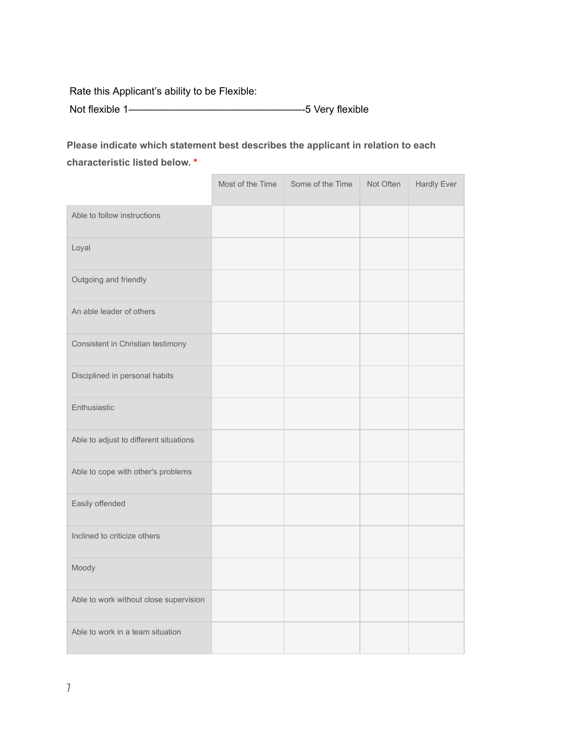Rate this Applicant's ability to be Flexible:

Not flexible 1—————————————————-5 Very flexible

**Please indicate which statement best describes the applicant in relation to each characteristic listed below. \***

|                                        | Most of the Time | Some of the Time | Not Often | <b>Hardly Ever</b> |
|----------------------------------------|------------------|------------------|-----------|--------------------|
| Able to follow instructions            |                  |                  |           |                    |
| Loyal                                  |                  |                  |           |                    |
| Outgoing and friendly                  |                  |                  |           |                    |
| An able leader of others               |                  |                  |           |                    |
| Consistent in Christian testimony      |                  |                  |           |                    |
| Disciplined in personal habits         |                  |                  |           |                    |
| Enthusiastic                           |                  |                  |           |                    |
| Able to adjust to different situations |                  |                  |           |                    |
| Able to cope with other's problems     |                  |                  |           |                    |
| Easily offended                        |                  |                  |           |                    |
| Inclined to criticize others           |                  |                  |           |                    |
| Moody                                  |                  |                  |           |                    |
| Able to work without close supervision |                  |                  |           |                    |
| Able to work in a team situation       |                  |                  |           |                    |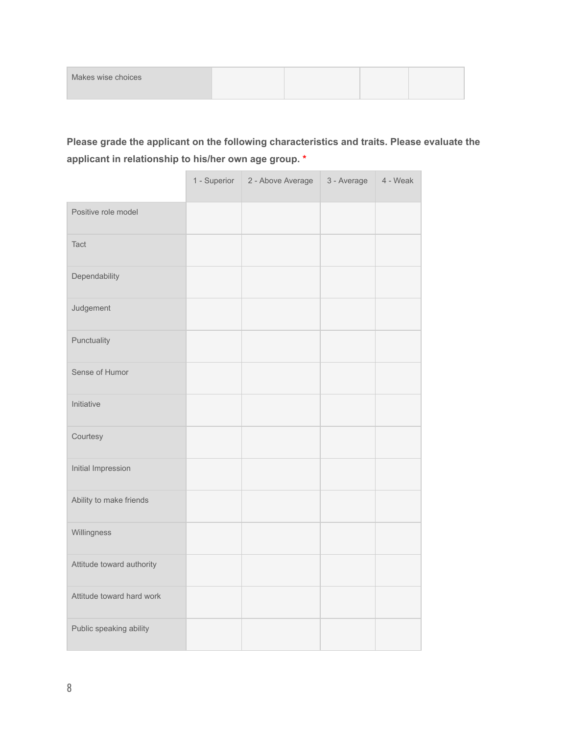| Makes wise choices |  |  |
|--------------------|--|--|
|                    |  |  |

#### **Please grade the applicant on the following characteristics and traits. Please evaluate the applicant in relationship to his/her own age group. \***

|                           | 1 - Superior | 2 - Above Average | 3 - Average | 4 - Weak |
|---------------------------|--------------|-------------------|-------------|----------|
| Positive role model       |              |                   |             |          |
| Tact                      |              |                   |             |          |
| Dependability             |              |                   |             |          |
| Judgement                 |              |                   |             |          |
| Punctuality               |              |                   |             |          |
| Sense of Humor            |              |                   |             |          |
| Initiative                |              |                   |             |          |
| Courtesy                  |              |                   |             |          |
| Initial Impression        |              |                   |             |          |
| Ability to make friends   |              |                   |             |          |
| Willingness               |              |                   |             |          |
| Attitude toward authority |              |                   |             |          |
| Attitude toward hard work |              |                   |             |          |
| Public speaking ability   |              |                   |             |          |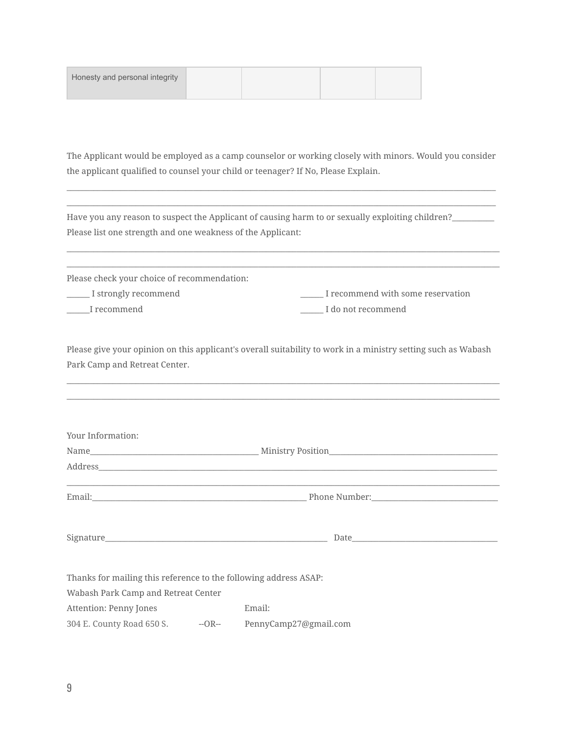| Honesty and personal integrity |  |  |
|--------------------------------|--|--|
|                                |  |  |

The Applicant would be employed as a camp counselor or working closely with minors. Would you consider the applicant qualified to counsel your child or teenager? If No, Please Explain.

\_\_\_\_\_\_\_\_\_\_\_\_\_\_\_\_\_\_\_\_\_\_\_\_\_\_\_\_\_\_\_\_\_\_\_\_\_\_\_\_\_\_\_\_\_\_\_\_\_\_\_\_\_\_\_\_\_\_\_\_\_\_\_\_\_\_\_\_\_\_\_\_\_\_\_\_\_\_\_\_\_\_\_\_\_\_\_\_\_\_\_\_\_\_\_\_\_\_\_\_\_\_\_\_\_\_\_\_\_\_\_\_ \_\_\_\_\_\_\_\_\_\_\_\_\_\_\_\_\_\_\_\_\_\_\_\_\_\_\_\_\_\_\_\_\_\_\_\_\_\_\_\_\_\_\_\_\_\_\_\_\_\_\_\_\_\_\_\_\_\_\_\_\_\_\_\_\_\_\_\_\_\_\_\_\_\_\_\_\_\_\_\_\_\_\_\_\_\_\_\_\_\_\_\_\_\_\_\_\_\_\_\_\_\_\_\_\_\_\_\_\_\_\_\_

| Have you any reason to suspect the Applicant of causing harm to or sexually exploiting children?_ |
|---------------------------------------------------------------------------------------------------|
| Please list one strength and one weakness of the Applicant:                                       |
|                                                                                                   |

Please check your choice of recommendation: \_\_\_\_\_\_ I strongly recommend \_\_\_\_\_\_ I recommend with some reservation \_\_\_\_\_\_I recommend \_\_\_\_\_\_ I do not recommend

\_\_\_\_\_\_\_\_\_\_\_\_\_\_\_\_\_\_\_\_\_\_\_\_\_\_\_\_\_\_\_\_\_\_\_\_\_\_\_\_\_\_\_\_\_\_\_\_\_\_\_\_\_\_\_\_\_\_\_\_\_\_\_\_\_\_\_\_\_\_\_\_\_\_\_\_\_\_\_\_\_\_\_\_\_\_\_\_\_\_\_\_\_\_\_\_\_\_\_\_\_\_\_\_\_\_\_\_\_\_\_\_\_

Please give your opinion on this applicant's overall suitability to work in a ministry setting such as Wabash Park Camp and Retreat Center.

\_\_\_\_\_\_\_\_\_\_\_\_\_\_\_\_\_\_\_\_\_\_\_\_\_\_\_\_\_\_\_\_\_\_\_\_\_\_\_\_\_\_\_\_\_\_\_\_\_\_\_\_\_\_\_\_\_\_\_\_\_\_\_\_\_\_\_\_\_\_\_\_\_\_\_\_\_\_\_\_\_\_\_\_\_\_\_\_\_\_\_\_\_\_\_\_\_\_\_\_\_\_\_\_\_\_\_\_\_\_\_\_\_ \_\_\_\_\_\_\_\_\_\_\_\_\_\_\_\_\_\_\_\_\_\_\_\_\_\_\_\_\_\_\_\_\_\_\_\_\_\_\_\_\_\_\_\_\_\_\_\_\_\_\_\_\_\_\_\_\_\_\_\_\_\_\_\_\_\_\_\_\_\_\_\_\_\_\_\_\_\_\_\_\_\_\_\_\_\_\_\_\_\_\_\_\_\_\_\_\_\_\_\_\_\_\_\_\_\_\_\_\_\_\_\_\_

| Your Information:                                                |                                                                                          |  |
|------------------------------------------------------------------|------------------------------------------------------------------------------------------|--|
|                                                                  |                                                                                          |  |
|                                                                  |                                                                                          |  |
|                                                                  | <u>,这就是我们的人,我们就是我们的人,我们就是我们的人,我们就是我们的人,我们就是我们的人,我们就是我们的人,我们就是我们的人,我们就是我们的人,我们</u> 能是我们的人 |  |
|                                                                  |                                                                                          |  |
| Thanks for mailing this reference to the following address ASAP: |                                                                                          |  |
| Wabash Park Camp and Retreat Center                              |                                                                                          |  |
| Attention: Penny Jones                                           | Email:                                                                                   |  |
|                                                                  | 304 E. County Road 650 S. - - - - OR-- PennyCamp27@gmail.com                             |  |